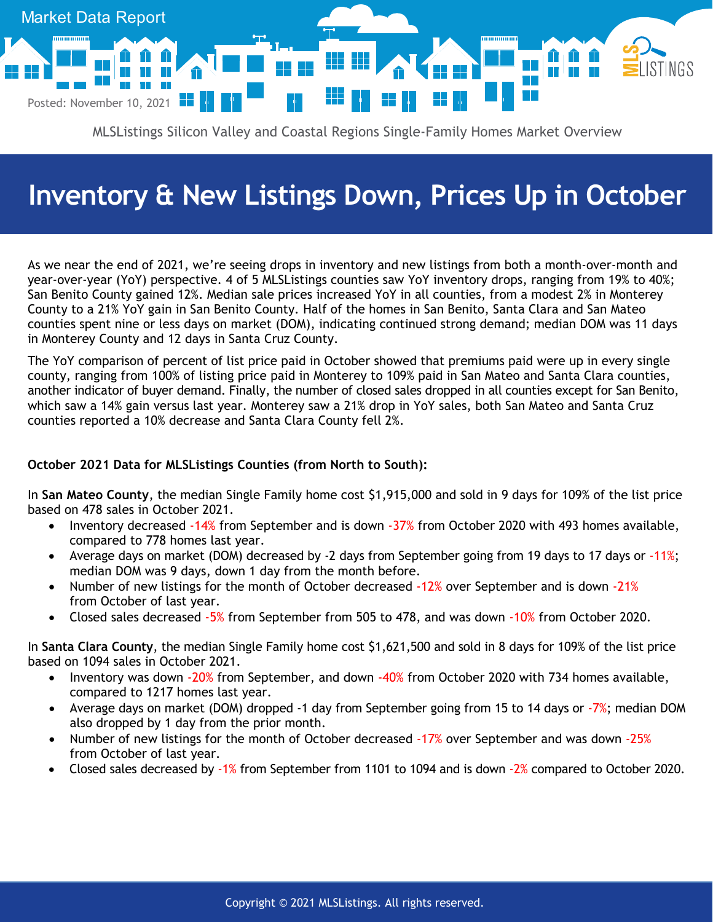

MLSListings Silicon Valley and Coastal Regions Single-Family Homes Market Overview

## **Inventory & New Listings Down, Prices Up in October**

As we near the end of 2021, we're seeing drops in inventory and new listings from both a month-over-month and year-over-year (YoY) perspective. 4 of 5 MLSListings counties saw YoY inventory drops, ranging from 19% to 40%; San Benito County gained 12%. Median sale prices increased YoY in all counties, from a modest 2% in Monterey County to a 21% YoY gain in San Benito County. Half of the homes in San Benito, Santa Clara and San Mateo counties spent nine or less days on market (DOM), indicating continued strong demand; median DOM was 11 days in Monterey County and 12 days in Santa Cruz County.

The YoY comparison of percent of list price paid in October showed that premiums paid were up in every single county, ranging from 100% of listing price paid in Monterey to 109% paid in San Mateo and Santa Clara counties, another indicator of buyer demand. Finally, the number of closed sales dropped in all counties except for San Benito, which saw a 14% gain versus last year. Monterey saw a 21% drop in YoY sales, both San Mateo and Santa Cruz counties reported a 10% decrease and Santa Clara County fell 2%.

## **October 2021 Data for MLSListings Counties (from North to South):**

In **San Mateo County**, the median Single Family home cost \$1,915,000 and sold in 9 days for 109% of the list price based on 478 sales in October 2021.

- Inventory decreased -14% from September and is down -37% from October 2020 with 493 homes available, compared to 778 homes last year.
- Average days on market (DOM) decreased by -2 days from September going from 19 days to 17 days or -11%; median DOM was 9 days, down 1 day from the month before.
- Number of new listings for the month of October decreased -12% over September and is down -21% from October of last year.
- Closed sales decreased -5% from September from 505 to 478, and was down -10% from October 2020.

In **Santa Clara County**, the median Single Family home cost \$1,621,500 and sold in 8 days for 109% of the list price based on 1094 sales in October 2021.

- Inventory was down -20% from September, and down -40% from October 2020 with 734 homes available, compared to 1217 homes last year.
- Average days on market (DOM) dropped -1 day from September going from 15 to 14 days or -7%; median DOM also dropped by 1 day from the prior month.
- Number of new listings for the month of October decreased -17% over September and was down -25% from October of last year.
- Closed sales decreased by -1% from September from 1101 to 1094 and is down -2% compared to October 2020.